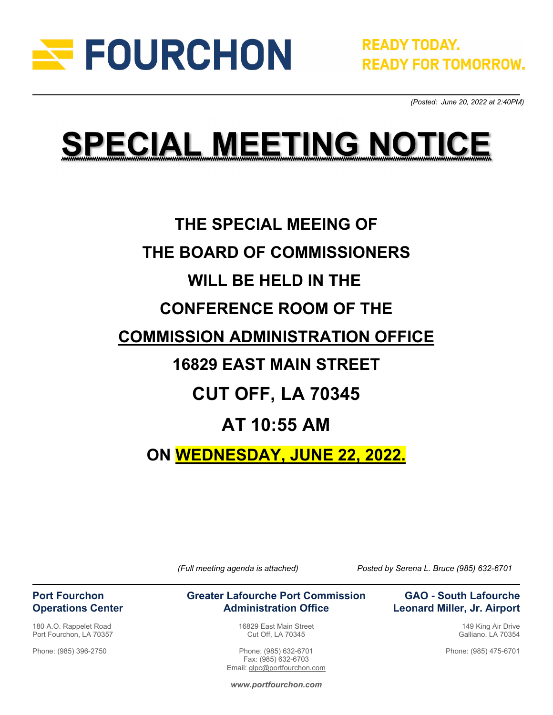

 *(Posted: June 20, 2022 at 2:40PM)* 

# **SPECIAL MEETING NOTICE**

## **THE SPECIAL MEEING OF THE BOARD OF COMMISSIONERS WILL BE HELD IN THE CONFERENCE ROOM OF THE COMMISSION ADMINISTRATION OFFICE 16829 EAST MAIN STREET CUT OFF, LA 70345 AT 10:55 AM**

**ON WEDNESDAY, JUNE 22, 2022.**

*(Full meeting agenda is attached) Posted by Serena L. Bruce (985) 632-6701*

#### **Greater Lafourche Port Commission Administration Office**

16829 East Main Street Cut Off, LA 70345

Phone: (985) 632-6701 Fax: (985) 632-6703 Email: glpc@portfourchon.com

### **GAO - South Lafourche Leonard Miller, Jr. Airport**

149 King Air Drive Galliano, LA 70354

Phone: (985) 475-6701

*www.portfourchon.com*

### **Port Fourchon Operations Center**

180 A.O. Rappelet Road Port Fourchon, LA 70357

Phone: (985) 396-2750